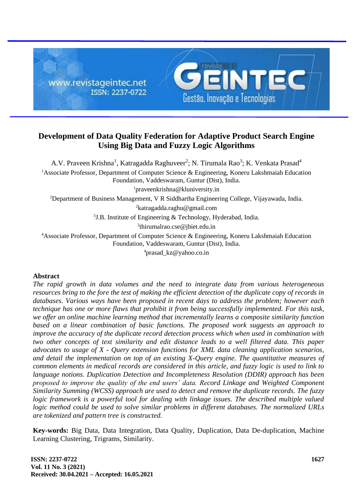

# **Development of Data Quality Federation for Adaptive Product Search Engine Using Big Data and Fuzzy Logic Algorithms**

A.V. Praveen Krishna<sup>1</sup>, Katragadda Raghuveer<sup>2</sup>; N. Tirumala Rao<sup>3</sup>; K. Venkata Prasad<sup>4</sup> <sup>1</sup>Associate Professor, Department of Computer Science & Engineering, Koneru Lakshmaiah Education Foundation, Vaddeswaram, Guntur (Dist), India. <sup>1</sup>praveenkrishna@kluniversity.in <sup>2</sup>Department of Business Management, V R Siddhartha Engineering College, Vijayawada, India. <sup>2</sup>katragadda.raghu@gmail.com <sup>3</sup>J.B. Institute of Engineering & Technology, Hyderabad, India. 3 thirumalrao.cse@jbiet.edu.in <sup>4</sup>Associate Professor, Department of Computer Science & Engineering, Koneru Lakshmaiah Education Foundation, Vaddeswaram, Guntur (Dist), India. <sup>4</sup>prasad kz@yahoo.co.in

## **Abstract**

*The rapid growth in data volumes and the need to integrate data from various heterogeneous resources bring to the fore the test of making the efficient detection of the duplicate copy of records in databases. Various ways have been proposed in recent days to address the problem; however each technique has one or more flaws that prohibit it from being successfully implemented. For this task, we offer an online machine learning method that incrementally learns a composite similarity function based on a linear combination of basic functions. The proposed work suggests an approach to improve the accuracy of the duplicate record detection process which when used in combination with two other concepts of text similarity and edit distance leads to a well filtered data. This paper advocates to usage of X - Query extension functions for XML data cleaning application scenarios, and detail the implementation on top of an existing X-Query engine. The quantitative measures of common elements in medical records are considered in this article, and fuzzy logic is used to link to language notions. Duplication Detection and Incompleteness Resolution (DDIR) approach has been proposed to improve the quality of the end users' data. Record Linkage and Weighted Component Similarity Summing (WCSS) approach are used to detect and remove the duplicate records. The fuzzy*  logic framework is a powerful tool for dealing with linkage issues. The described multiple valued *logic method could be used to solve similar problems in different databases. The normalized URLs are tokenized and pattern tree is constructed.*

**Key-words:** Big Data, Data Integration, Data Quality, Duplication, Data De-duplication, Machine Learning Clustering, Trigrams, Similarity.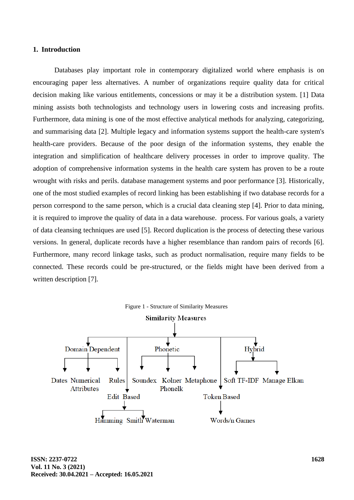#### **1. Introduction**

Databases play important role in contemporary digitalized world where emphasis is on encouraging paper less alternatives. A number of organizations require quality data for critical decision making like various entitlements, concessions or may it be a distribution system. [1] Data mining assists both technologists and technology users in lowering costs and increasing profits. Furthermore, data mining is one of the most effective analytical methods for analyzing, categorizing, and summarising data [2]. Multiple legacy and information systems support the health-care system's health-care providers. Because of the poor design of the information systems, they enable the integration and simplification of healthcare delivery processes in order to improve quality. The adoption of comprehensive information systems in the health care system has proven to be a route wrought with risks and perils. database management systems and poor performance [3]. Historically, one of the most studied examples of record linking has been establishing if two database records for a person correspond to the same person, which is a crucial data cleaning step [4]. Prior to data mining, it is required to improve the quality of data in a data warehouse. process. For various goals, a variety of data cleansing techniques are used [5]. Record duplication is the process of detecting these various versions. In general, duplicate records have a higher resemblance than random pairs of records [6]. Furthermore, many record linkage tasks, such as product normalisation, require many fields to be connected. These records could be pre-structured, or the fields might have been derived from a written description [7].

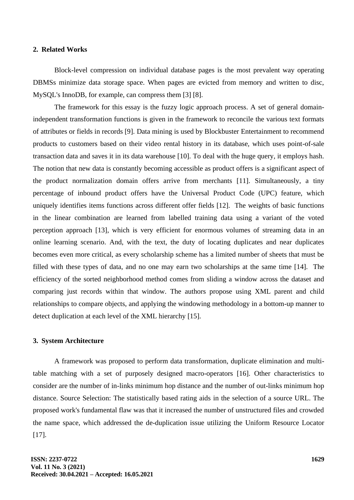#### **2. Related Works**

Block-level compression on individual database pages is the most prevalent way operating DBMSs minimize data storage space. When pages are evicted from memory and written to disc, MySQL's InnoDB, for example, can compress them [3] [8].

The framework for this essay is the fuzzy logic approach process. A set of general domainindependent transformation functions is given in the framework to reconcile the various text formats of attributes or fields in records [9]. Data mining is used by Blockbuster Entertainment to recommend products to customers based on their video rental history in its database, which uses point-of-sale transaction data and saves it in its data warehouse [10]. To deal with the huge query, it employs hash. The notion that new data is constantly becoming accessible as product offers is a significant aspect of the product normalization domain offers arrive from merchants [11]. Simultaneously, a tiny percentage of inbound product offers have the Universal Product Code (UPC) feature, which uniquely identifies items functions across different offer fields [12]. The weights of basic functions in the linear combination are learned from labelled training data using a variant of the voted perception approach [13], which is very efficient for enormous volumes of streaming data in an online learning scenario. And, with the text, the duty of locating duplicates and near duplicates becomes even more critical, as every scholarship scheme has a limited number of sheets that must be filled with these types of data, and no one may earn two scholarships at the same time [14]. The efficiency of the sorted neighborhood method comes from sliding a window across the dataset and comparing just records within that window. The authors propose using XML parent and child relationships to compare objects, and applying the windowing methodology in a bottom-up manner to detect duplication at each level of the XML hierarchy [15].

#### **3. System Architecture**

A framework was proposed to perform data transformation, duplicate elimination and multitable matching with a set of purposely designed macro-operators [16]. Other characteristics to consider are the number of in-links minimum hop distance and the number of out-links minimum hop distance. Source Selection: The statistically based rating aids in the selection of a source URL. The proposed work's fundamental flaw was that it increased the number of unstructured files and crowded the name space, which addressed the de-duplication issue utilizing the Uniform Resource Locator [17].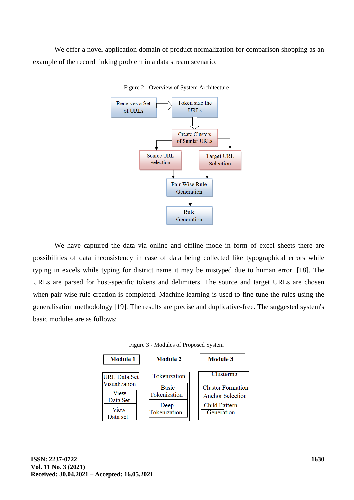We offer a novel application domain of product normalization for comparison shopping as an example of the record linking problem in a data stream scenario.



Figure 2 - Overview of System Architecture

We have captured the data via online and offline mode in form of excel sheets there are possibilities of data inconsistency in case of data being collected like typographical errors while typing in excels while typing for district name it may be mistyped due to human error. [18]. The URLs are parsed for host-specific tokens and delimiters. The source and target URLs are chosen when pair-wise rule creation is completed. Machine learning is used to fine-tune the rules using the generalisation methodology [19]. The results are precise and duplicative-free. The suggested system's basic modules are as follows:



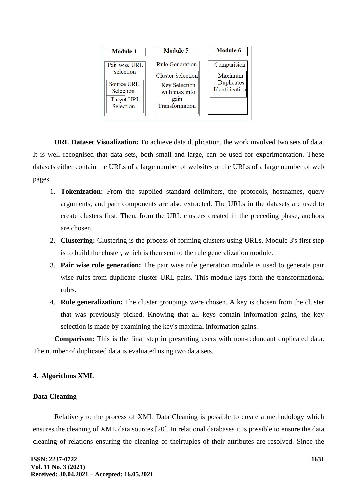| <b>Module 4</b>                          | <b>Module 5</b>                                                   | <b>Module 6</b>                         |
|------------------------------------------|-------------------------------------------------------------------|-----------------------------------------|
| Pair wise URL<br>Selection<br>Source URL | <b>Rule Generation</b>                                            | Comparision                             |
|                                          | <b>Cluster Selection</b><br><b>Key Selection</b><br>with max info | Maximum<br>Duplicates<br>Identification |
| Selection                                |                                                                   |                                         |
| <b>Target URL</b><br>Selection           | gain<br>Transformation                                            |                                         |
|                                          |                                                                   |                                         |

**URL Dataset Visualization:** To achieve data duplication, the work involved two sets of data. It is well recognised that data sets, both small and large, can be used for experimentation. These datasets either contain the URLs of a large number of websites or the URLs of a large number of web pages.

- 1. **Tokenization:** From the supplied standard delimiters, the protocols, hostnames, query arguments, and path components are also extracted. The URLs in the datasets are used to create clusters first. Then, from the URL clusters created in the preceding phase, anchors are chosen.
- 2. **Clustering:** Clustering is the process of forming clusters using URLs. Module 3's first step is to build the cluster, which is then sent to the rule generalization module.
- 3. **Pair wise rule generation:** The pair wise rule generation module is used to generate pair wise rules from duplicate cluster URL pairs. This module lays forth the transformational rules.
- 4. **Rule generalization:** The cluster groupings were chosen. A key is chosen from the cluster that was previously picked. Knowing that all keys contain information gains, the key selection is made by examining the key's maximal information gains.

**Comparison:** This is the final step in presenting users with non-redundant duplicated data. The number of duplicated data is evaluated using two data sets.

## **4. Algorithms XML**

## **Data Cleaning**

Relatively to the process of XML Data Cleaning is possible to create a methodology which ensures the cleaning of XML data sources [20]. In relational databases it is possible to ensure the data cleaning of relations ensuring the cleaning of theirtuples of their attributes are resolved. Since the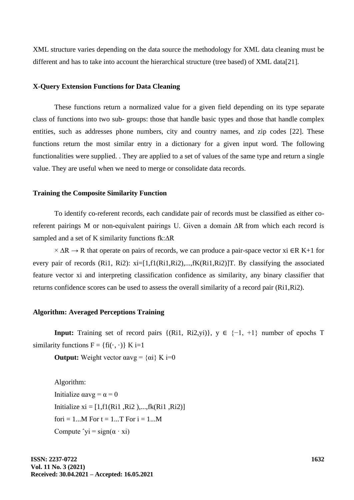XML structure varies depending on the data source the methodology for XML data cleaning must be different and has to take into account the hierarchical structure (tree based) of XML data[21].

#### **X-Query Extension Functions for Data Cleaning**

These functions return a normalized value for a given field depending on its type separate class of functions into two sub- groups: those that handle basic types and those that handle complex entities, such as addresses phone numbers, city and country names, and zip codes [22]. These functions return the most similar entry in a dictionary for a given input word. The following functionalities were supplied. . They are applied to a set of values of the same type and return a single value. They are useful when we need to merge or consolidate data records.

#### **Training the Composite Similarity Function**

To identify co-referent records, each candidate pair of records must be classified as either coreferent pairings M or non-equivalent pairings U. Given a domain ∆R from which each record is sampled and a set of K similarity functions fk:∆R

 $\times$  ∆R  $\rightarrow$  R that operate on pairs of records, we can produce a pair-space vector xi ∈R K+1 for every pair of records (Ri1, Ri2): xi=[1,f1(Ri1,Ri2),...,fK(Ri1,Ri2)]T. By classifying the associated feature vector xi and interpreting classification confidence as similarity, any binary classifier that returns confidence scores can be used to assess the overall similarity of a record pair (Ri1,Ri2).

### **Algorithm: Averaged Perceptions Training**

**Input:** Training set of record pairs  $\{(\text{Ri1}, \text{Ri2,yi})\}\$ ,  $y \in \{-1, +1\}$  number of epochs T similarity functions  $F = \{fi(\cdot, \cdot)\}\ K = 1$ 

**Output:** Weight vector  $\alpha \text{avg} = {\alpha i} K = 0$ 

Algorithm: Initialize  $\alpha$ avg =  $\alpha$  = 0 Initialize  $xi = [1, f1(Ri1, Ri2), \dots, fk(Ri1, Ri2)]$ for  $i = 1...M$  For  $t = 1...T$  For  $i = 1...M$ Compute  $\hat{y}$  = sign( $\alpha \cdot \hat{x}$ i)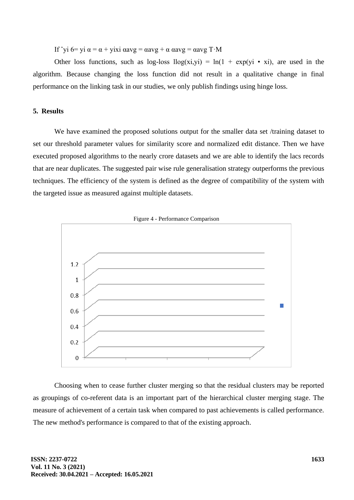If  $\gamma$ i 6= yi α = α + yixi αavg = αavg + α αavg = αavg T·M

Other loss functions, such as log-loss  $\log(x_i, y_i) = \ln(1 + \exp(y_i \cdot x_i))$ , are used in the algorithm. Because changing the loss function did not result in a qualitative change in final performance on the linking task in our studies, we only publish findings using hinge loss.

## **5. Results**

We have examined the proposed solutions output for the smaller data set /training dataset to set our threshold parameter values for similarity score and normalized edit distance. Then we have executed proposed algorithms to the nearly crore datasets and we are able to identify the lacs records that are near duplicates. The suggested pair wise rule generalisation strategy outperforms the previous techniques. The efficiency of the system is defined as the degree of compatibility of the system with the targeted issue as measured against multiple datasets.



Choosing when to cease further cluster merging so that the residual clusters may be reported as groupings of co-referent data is an important part of the hierarchical cluster merging stage. The measure of achievement of a certain task when compared to past achievements is called performance. The new method's performance is compared to that of the existing approach.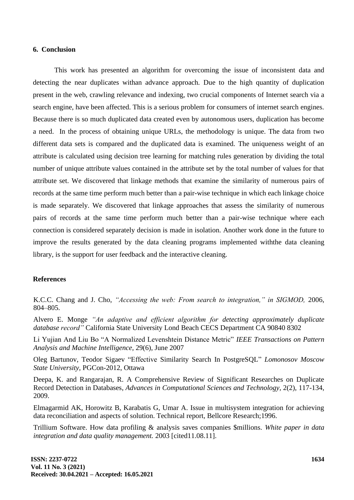#### **6. Conclusion**

This work has presented an algorithm for overcoming the issue of inconsistent data and detecting the near duplicates withan advance approach. Due to the high quantity of duplication present in the web, crawling relevance and indexing, two crucial components of Internet search via a search engine, have been affected. This is a serious problem for consumers of internet search engines. Because there is so much duplicated data created even by autonomous users, duplication has become a need. In the process of obtaining unique URLs, the methodology is unique. The data from two different data sets is compared and the duplicated data is examined. The uniqueness weight of an attribute is calculated using decision tree learning for matching rules generation by dividing the total number of unique attribute values contained in the attribute set by the total number of values for that attribute set. We discovered that linkage methods that examine the similarity of numerous pairs of records at the same time perform much better than a pair-wise technique in which each linkage choice is made separately. We discovered that linkage approaches that assess the similarity of numerous pairs of records at the same time perform much better than a pair-wise technique where each connection is considered separately decision is made in isolation. Another work done in the future to improve the results generated by the data cleaning programs implemented withthe data cleaning library, is the support for user feedback and the interactive cleaning.

#### **References**

K.C.C. Chang and J. Cho, *"Accessing the web: From search to integration," in SIGMOD,* 2006, 804–805.

Alvero E. Monge *"An adaptive and efficient algorithm for detecting approximately duplicate database record"* California State University Lond Beach CECS Department CA 90840 8302

Li Yujian And Liu Bo "A Normalized Levenshtein Distance Metric" *IEEE Transactions on Pattern Analysis and Machine Intelligence,* 29(6), June 2007

Oleg Bartunov, Teodor Sigaev "Effective Similarity Search In PostgreSQL" *Lomonosov Moscow State University,* PGCon-2012, Ottawa

Deepa, K. and Rangarajan, R. A Comprehensive Review of Significant Researches on Duplicate Record Detection in Databases, *Advances in Computational Sciences and Technology,* 2(2), 117-134, 2009.

Elmagarmid AK, Horowitz B, Karabatis G, Umar A. Issue in multisystem integration for achieving data reconciliation and aspects of solution. Technical report, Bellcore Research;1996.

Trillium Software. How data profiling & analysis saves companies \$millions. *White paper in data integration and data quality management.* 2003 [cited11.08.11].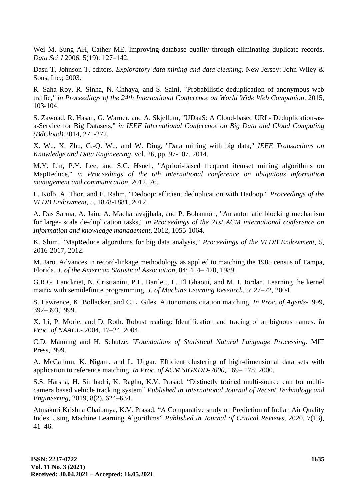Wei M, Sung AH, Cather ME. Improving database quality through eliminating duplicate records. *Data Sci J* 2006; 5(19): 127–142.

Dasu T, Johnson T, editors. *Exploratory data mining and data cleaning.* New Jersey: John Wiley & Sons, Inc.; 2003.

R. Saha Roy, R. Sinha, N. Chhaya, and S. Saini, "Probabilistic deduplication of anonymous web traffic*," in Proceedings of the 24th International Conference on World Wide Web Companion,* 2015, 103-104.

S. Zawoad, R. Hasan, G. Warner, and A. Skjellum, "UDaaS: A Cloud-based URL- Deduplication-asa-Service for Big Datasets," *in IEEE International Conference on Big Data and Cloud Computing (BdCloud)* 2014, 271-272.

X. Wu, X. Zhu, G.-Q. Wu, and W. Ding, "Data mining with big data," *IEEE Transactions on Knowledge and Data Engineering,* vol. 26, pp. 97-107, 2014.

M.Y. Lin, P.Y. Lee, and S.C. Hsueh, "Apriori-based frequent itemset mining algorithms on MapReduce," *in Proceedings of the 6th international conference on ubiquitous information management and communication,* 2012, 76.

L. Kolb, A. Thor, and E. Rahm, "Dedoop: efficient deduplication with Hadoop," *Proceedings of the VLDB Endowment,* 5, 1878-1881, 2012.

A. Das Sarma, A. Jain, A. Machanavajjhala, and P. Bohannon, "An automatic blocking mechanism for large- scale de-duplication tasks," *in Proceedings of the 21st ACM international conference on Information and knowledge management,* 2012, 1055-1064.

K. Shim, "MapReduce algorithms for big data analysis," *Proceedings of the VLDB Endowment,* 5, 2016-2017, 2012.

M. Jaro. Advances in record-linkage methodology as applied to matching the 1985 census of Tampa, Florida. *J. of the American Statistical Association,* 84: 414– 420, 1989.

G.R.G. Lanckriet, N. Cristianini, P.L. Bartlett, L. El Ghaoui, and M. I. Jordan. Learning the kernel matrix with semidefinite programming. *J. of Machine Learning Research,* 5: 27–72, 2004.

S. Lawrence, K. Bollacker, and C.L. Giles. Autonomous citation matching. *In Proc. of Agents*-1999, 392–393,1999.

X. Li, P. Morie, and D. Roth. Robust reading: Identification and tracing of ambiguous names. *In Proc. of NAACL-* 2004, 17–24, 2004.

C.D. Manning and H. Schutze. *¨Foundations of Statistical Natural Language Processing.* MIT Press,1999.

A. McCallum, K. Nigam, and L. Ungar. Efficient clustering of high-dimensional data sets with application to reference matching. *In Proc. of ACM SIGKDD-2000,* 169– 178, 2000.

S.S. Harsha, H. Simhadri, K. Raghu, K.V. Prasad, "Distinctly trained multi-source cnn for multicamera based vehicle tracking system" *Published in International Journal of Recent Technology and Engineering,* 2019, 8(2), 624–634.

Atmakuri Krishna Chaitanya, K.V. Prasad, "A Comparative study on Prediction of Indian Air Quality Index Using Machine Learning Algorithms" *Published in Journal of Critical Reviews,* 2020, 7(13), 41–46.